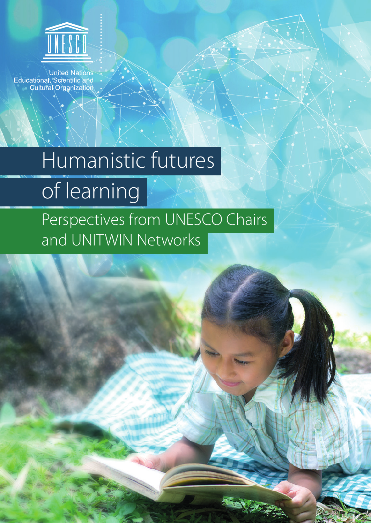

**United Nations** Educational, Scientific and **Cultural Organization** 

# Humanistic futures of learning

Perspectives from UNESCO Chairs and UNITWIN Networks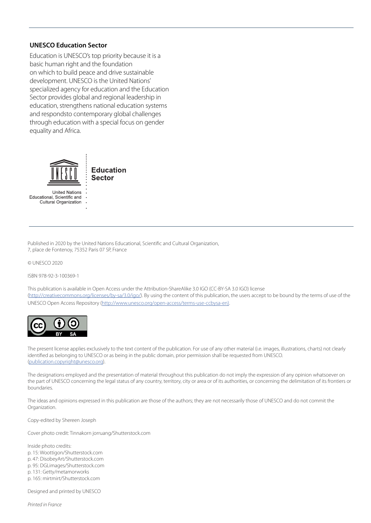#### **UNESCO Education Sector**

Education is UNESCO's top priority because it is a basic human right and the foundation on which to build peace and drive sustainable development. UNESCO is the United Nations' specialized agency for education and the Education Sector provides global and regional leadership in education, strengthens national education systems and respondsto contemporary global challenges through education with a special focus on gender equality and Africa.



Educational, Scientific and Cultural Organization

Published in 2020 by the United Nations Educational, Scientific and Cultural Organization, 7, place de Fontenoy, 75352 Paris 07 SP, France

© UNESCO 2020

ISBN 978-92-3-100369-1

This publication is available in Open Access under the Attribution-ShareAlike 3.0 IGO (CC-BY-SA 3.0 IGO) license ([http://creativecommons.org/licenses/by-sa/3.0/igo/\)](http://creativecommons.org/licenses/by-sa/3.0/igo/). By using the content of this publication, the users accept to be bound by the terms of use of the UNESCO Open Access Repository [\(http://www.unesco.org/open-access/terms-use-ccbysa-en\).](http://www.unesco.org/open-access/terms-use-ccbysa-en))



The present license applies exclusively to the text content of the publication. For use of any other material (i.e. images, illustrations, charts) not clearly identified as belonging to UNESCO or as being in the public domain, prior permission shall be requested from UNESCO. ([publication.copyright@unesco.org\)](mailto:publication.copyright@unesco.org).

The designations employed and the presentation of material throughout this publication do not imply the expression of any opinion whatsoever on the part of UNESCO concerning the legal status of any country, territory, city or area or of its authorities, or concerning the delimitation of its frontiers or boundaries.

The ideas and opinions expressed in this publication are those of the authors; they are not necessarily those of UNESCO and do not commit the Organization.

Copy-edited by Shereen Joseph

Cover photo credit: Tinnakorn jorruang/Shutterstock.com

Inside photo credits: p. 15: Woottigon/Shutterstock.com p. 47: DisobeyArt/Shutterstock.com p. 95: DGLimages/Shutterstock.com p. 131: Getty/metamorworks p. 165: mirtmirt/Shutterstock.com Designed and printed by UNESCO

*Printed in France*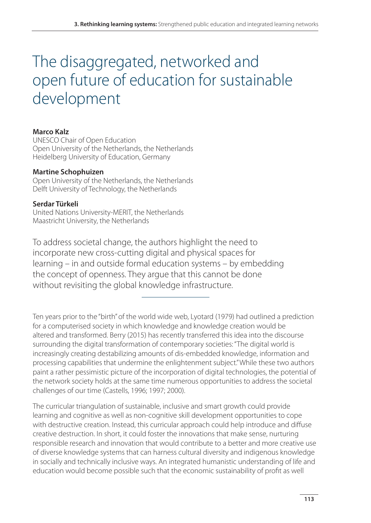# The disaggregated, networked and open future of education for sustainable development

#### **Marco Kalz**

UNESCO Chair of Open Education Open University of the Netherlands, the Netherlands Heidelberg University of Education, Germany

#### **Martine Schophuizen**

Open University of the Netherlands, the Netherlands Delft University of Technology, the Netherlands

#### **Serdar Türkeli**

United Nations University-MERIT, the Netherlands Maastricht University, the Netherlands

To address societal change, the authors highlight the need to incorporate new cross-cutting digital and physical spaces for learning – in and outside formal education systems – by embedding the concept of openness. They argue that this cannot be done without revisiting the global knowledge infrastructure.

Ten years prior to the "birth" of the world wide web, Lyotard (1979) had outlined a prediction for a computerised society in which knowledge and knowledge creation would be altered and transformed. Berry (2015) has recently transferred this idea into the discourse surrounding the digital transformation of contemporary societies: "The digital world is increasingly creating destabilizing amounts of dis-embedded knowledge, information and processing capabilities that undermine the enlightenment subject." While these two authors paint a rather pessimistic picture of the incorporation of digital technologies, the potential of the network society holds at the same time numerous opportunities to address the societal challenges of our time (Castells, 1996; 1997; 2000).

The curricular triangulation of sustainable, inclusive and smart growth could provide learning and cognitive as well as non-cognitive skill development opportunities to cope with destructive creation. Instead, this curricular approach could help introduce and diffuse creative destruction. In short, it could foster the innovations that make sense, nurturing responsible research and innovation that would contribute to a better and more creative use of diverse knowledge systems that can harness cultural diversity and indigenous knowledge in socially and technically inclusive ways. An integrated humanistic understanding of life and education would become possible such that the economic sustainability of profit as well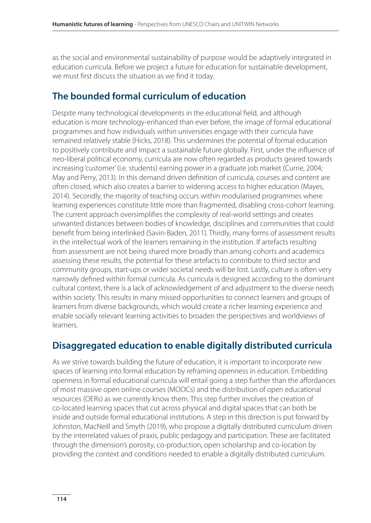as the social and environmental sustainability of purpose would be adaptively integrated in education curricula. Before we project a future for education for sustainable development, we must first discuss the situation as we find it today.

### **The bounded formal curriculum of education**

Despite many technological developments in the educational field, and although education is more technology-enhanced than ever before, the image of formal educational programmes and how individuals within universities engage with their curricula have remained relatively stable (Hicks, 2018). This undermines the potential of formal education to positively contribute and impact a sustainable future globally. First, under the influence of neo-liberal political economy, curricula are now often regarded as products geared towards increasing 'customer' (i.e. students) earning power in a graduate job market (Currie, 2004; May and Perry, 2013). In this demand driven definition of curricula, courses and content are often closed, which also creates a barrier to widening access to higher education (Mayes, 2014). Secondly, the majority of teaching occurs within modularised programmes where learning experiences constitute little more than fragmented, disabling cross-cohort learning. The current approach oversimplifies the complexity of real-world settings and creates unwanted distances between bodies of knowledge, disciplines and communities that could benefit from being interlinked (Savin-Baden, 2011). Thirdly, many forms of assessment results in the intellectual work of the learners remaining in the institution. If artefacts resulting from assessment are not being shared more broadly than among cohorts and academics assessing these results, the potential for these artefacts to contribute to third sector and community groups, start-ups or wider societal needs will be lost. Lastly, culture is often very narrowly defined within formal curricula. As curricula is designed according to the dominant cultural context, there is a lack of acknowledgement of and adjustment to the diverse needs within society. This results in many missed opportunities to connect learners and groups of learners from diverse backgrounds, which would create a richer learning experience and enable socially relevant learning activities to broaden the perspectives and worldviews of learners.

## **Disaggregated education to enable digitally distributed curricula**

As we strive towards building the future of education, it is important to incorporate new spaces of learning into formal education by reframing openness in education. Embedding openness in formal educational curricula will entail going a step further than the affordances of most massive open online courses (MOOCs) and the distribution of open educational resources (OERs) as we currently know them. This step further involves the creation of co-located learning spaces that cut across physical and digital spaces that can both be inside and outside formal educational institutions. A step in this direction is put forward by Johnston, MacNeill and Smyth (2019), who propose a digitally distributed curriculum driven by the interrelated values of praxis, public pedagogy and participation. These are facilitated through the dimension's porosity, co-production, open scholarship and co-location by providing the context and conditions needed to enable a digitally distributed curriculum.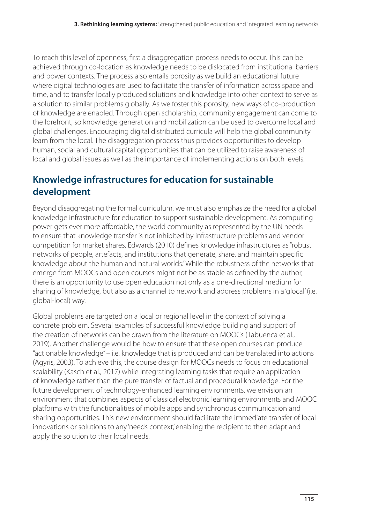To reach this level of openness, first a disaggregation process needs to occur. This can be achieved through co-location as knowledge needs to be dislocated from institutional barriers and power contexts. The process also entails porosity as we build an educational future where digital technologies are used to facilitate the transfer of information across space and time, and to transfer locally produced solutions and knowledge into other context to serve as a solution to similar problems globally. As we foster this porosity, new ways of co-production of knowledge are enabled. Through open scholarship, community engagement can come to the forefront, so knowledge generation and mobilization can be used to overcome local and global challenges. Encouraging digital distributed curricula will help the global community learn from the local. The disaggregation process thus provides opportunities to develop human, social and cultural capital opportunities that can be utilized to raise awareness of local and global issues as well as the importance of implementing actions on both levels.

# **Knowledge infrastructures for education for sustainable development**

Beyond disaggregating the formal curriculum, we must also emphasize the need for a global knowledge infrastructure for education to support sustainable development. As computing power gets ever more affordable, the world community as represented by the UN needs to ensure that knowledge transfer is not inhibited by infrastructure problems and vendor competition for market shares. Edwards (2010) defines knowledge infrastructures as "robust networks of people, artefacts, and institutions that generate, share, and maintain specific knowledge about the human and natural worlds." While the robustness of the networks that emerge from MOOCs and open courses might not be as stable as defined by the author, there is an opportunity to use open education not only as a one-directional medium for sharing of knowledge, but also as a channel to network and address problems in a 'glocal' (i.e. global-local) way.

Global problems are targeted on a local or regional level in the context of solving a concrete problem. Several examples of successful knowledge building and support of the creation of networks can be drawn from the literature on MOOCs (Tabuenca et al., 2019). Another challenge would be how to ensure that these open courses can produce "actionable knowledge" – i.e. knowledge that is produced and can be translated into actions (Agyris, 2003). To achieve this, the course design for MOOCs needs to focus on educational scalability (Kasch et al., 2017) while integrating learning tasks that require an application of knowledge rather than the pure transfer of factual and procedural knowledge. For the future development of technology-enhanced learning environments, we envision an environment that combines aspects of classical electronic learning environments and MOOC platforms with the functionalities of mobile apps and synchronous communication and sharing opportunities. This new environment should facilitate the immediate transfer of local innovations or solutions to any 'needs context' enabling the recipient to then adapt and apply the solution to their local needs.